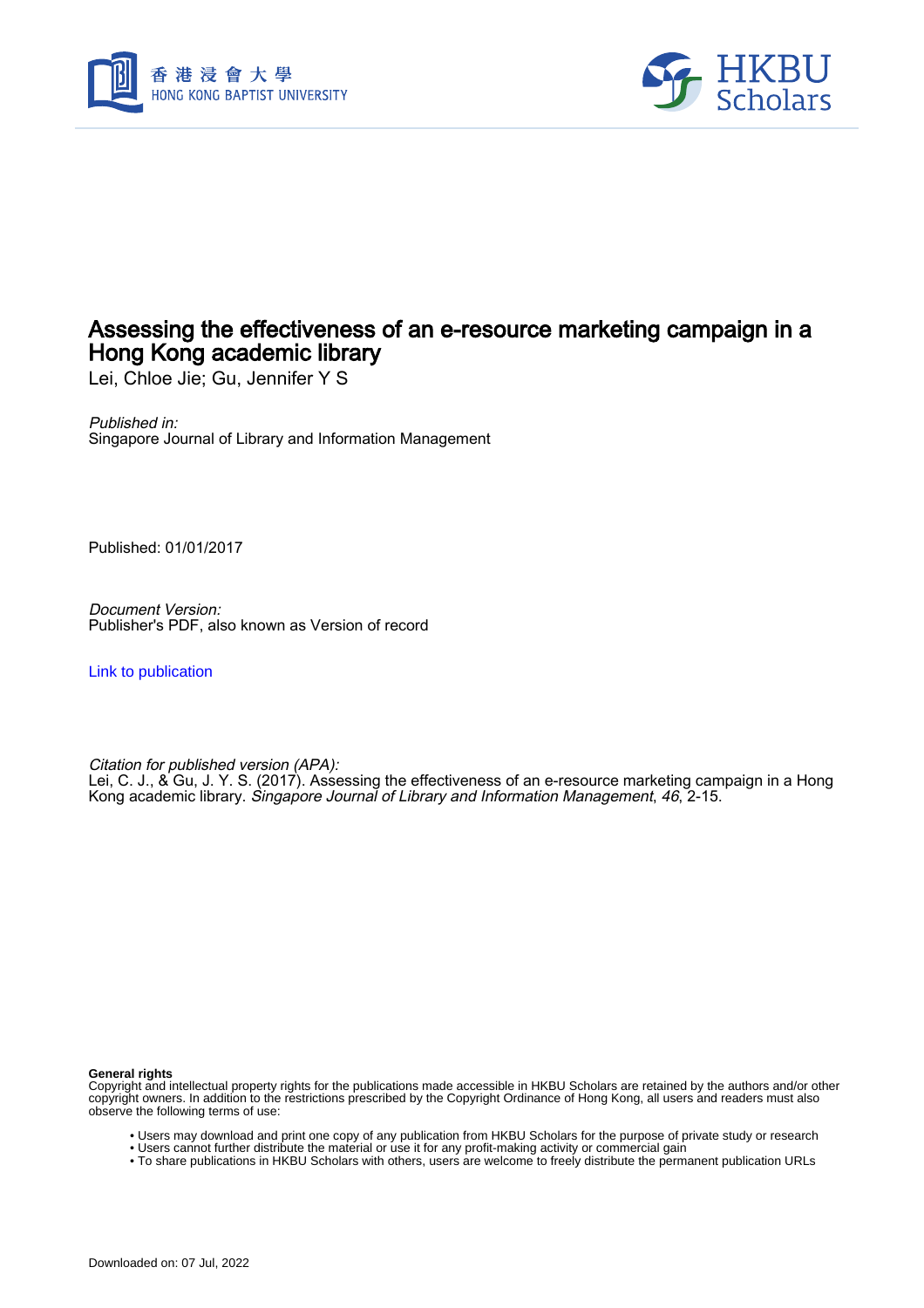



# Assessing the effectiveness of an e-resource marketing campaign in a Hong Kong academic library

Lei, Chloe Jie; Gu, Jennifer Y S

Published in: Singapore Journal of Library and Information Management

Published: 01/01/2017

Document Version: Publisher's PDF, also known as Version of record

[Link to publication](https://scholars.hkbu.edu.hk/en/publications/521a2886-ef9e-49f9-8566-5bf5036f64a2)

Citation for published version (APA):

Lei, C. J., & Gu, J. Y. S. (2017). Assessing the effectiveness of an e-resource marketing campaign in a Hong Kong academic library. Singapore Journal of Library and Information Management, 46, 2-15.

**General rights**

Copyright and intellectual property rights for the publications made accessible in HKBU Scholars are retained by the authors and/or other copyright owners. In addition to the restrictions prescribed by the Copyright Ordinance of Hong Kong, all users and readers must also observe the following terms of use:

- Users may download and print one copy of any publication from HKBU Scholars for the purpose of private study or research
- Users cannot further distribute the material or use it for any profit-making activity or commercial gain
- To share publications in HKBU Scholars with others, users are welcome to freely distribute the permanent publication URLs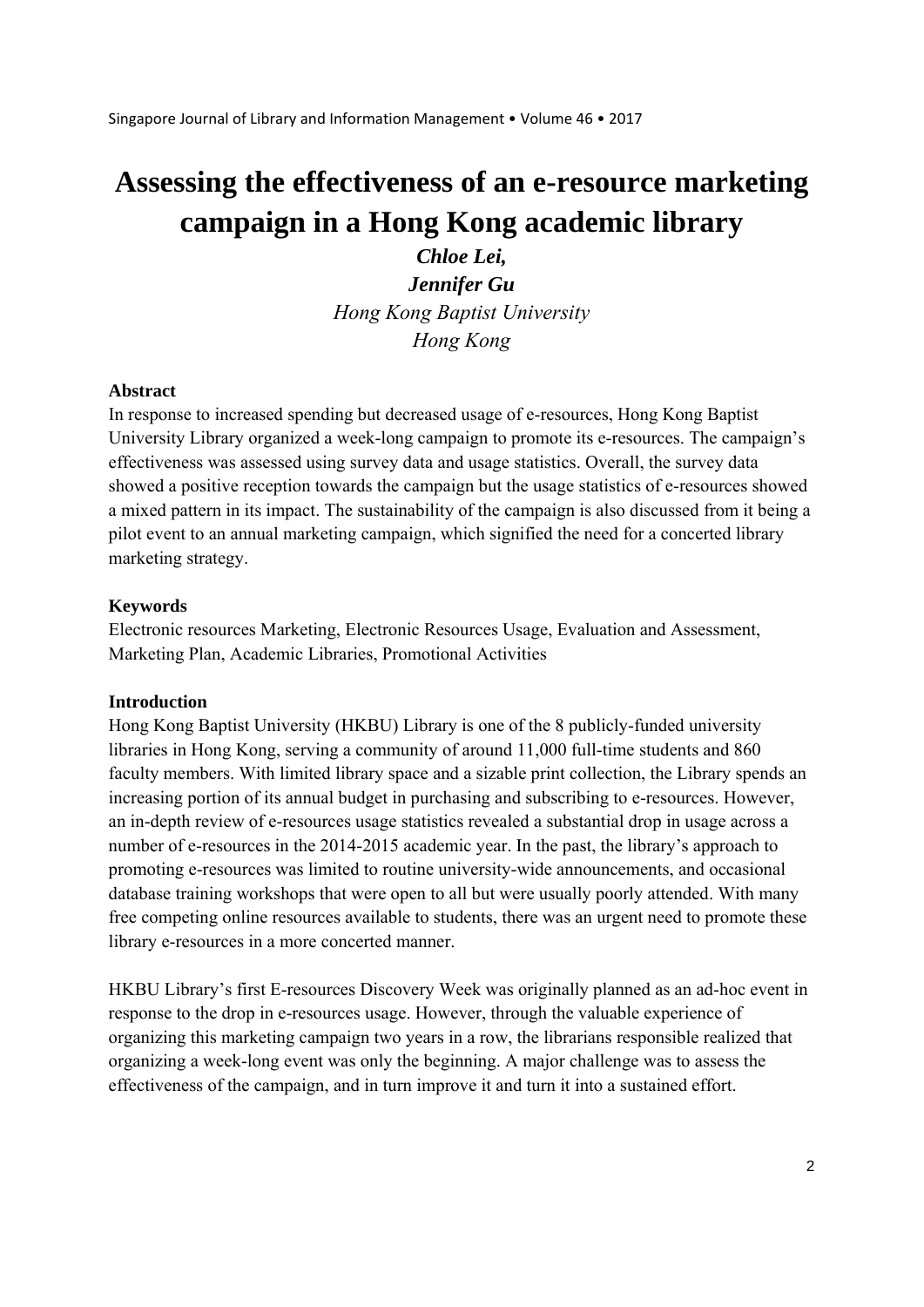# **Assessing the effectiveness of an e-resource marketing campaign in a Hong Kong academic library**

*Chloe Lei, Jennifer Gu Hong Kong Baptist University Hong Kong* 

#### **Abstract**

In response to increased spending but decreased usage of e-resources, Hong Kong Baptist University Library organized a week-long campaign to promote its e-resources. The campaign's effectiveness was assessed using survey data and usage statistics. Overall, the survey data showed a positive reception towards the campaign but the usage statistics of e-resources showed a mixed pattern in its impact. The sustainability of the campaign is also discussed from it being a pilot event to an annual marketing campaign, which signified the need for a concerted library marketing strategy.

#### **Keywords**

Electronic resources Marketing, Electronic Resources Usage, Evaluation and Assessment, Marketing Plan, Academic Libraries, Promotional Activities

#### **Introduction**

Hong Kong Baptist University (HKBU) Library is one of the 8 publicly-funded university libraries in Hong Kong, serving a community of around 11,000 full-time students and 860 faculty members. With limited library space and a sizable print collection, the Library spends an increasing portion of its annual budget in purchasing and subscribing to e-resources. However, an in-depth review of e-resources usage statistics revealed a substantial drop in usage across a number of e-resources in the 2014-2015 academic year. In the past, the library's approach to promoting e-resources was limited to routine university-wide announcements, and occasional database training workshops that were open to all but were usually poorly attended. With many free competing online resources available to students, there was an urgent need to promote these library e-resources in a more concerted manner.

HKBU Library's first E-resources Discovery Week was originally planned as an ad-hoc event in response to the drop in e-resources usage. However, through the valuable experience of organizing this marketing campaign two years in a row, the librarians responsible realized that organizing a week-long event was only the beginning. A major challenge was to assess the effectiveness of the campaign, and in turn improve it and turn it into a sustained effort.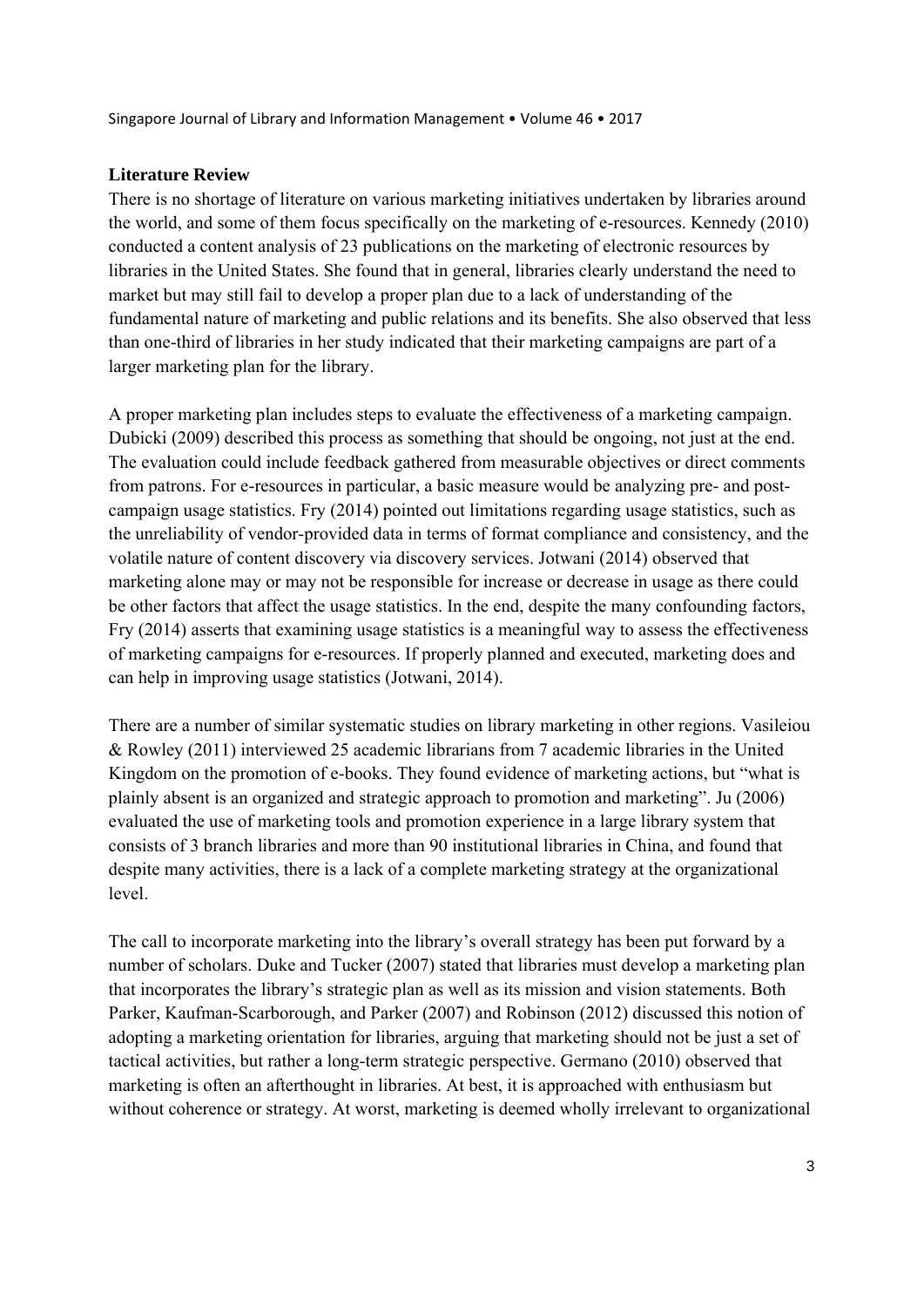### **Literature Review**

There is no shortage of literature on various marketing initiatives undertaken by libraries around the world, and some of them focus specifically on the marketing of e-resources. Kennedy (2010) conducted a content analysis of 23 publications on the marketing of electronic resources by libraries in the United States. She found that in general, libraries clearly understand the need to market but may still fail to develop a proper plan due to a lack of understanding of the fundamental nature of marketing and public relations and its benefits. She also observed that less than one-third of libraries in her study indicated that their marketing campaigns are part of a larger marketing plan for the library.

A proper marketing plan includes steps to evaluate the effectiveness of a marketing campaign. Dubicki (2009) described this process as something that should be ongoing, not just at the end. The evaluation could include feedback gathered from measurable objectives or direct comments from patrons. For e-resources in particular, a basic measure would be analyzing pre- and postcampaign usage statistics. Fry (2014) pointed out limitations regarding usage statistics, such as the unreliability of vendor-provided data in terms of format compliance and consistency, and the volatile nature of content discovery via discovery services. Jotwani (2014) observed that marketing alone may or may not be responsible for increase or decrease in usage as there could be other factors that affect the usage statistics. In the end, despite the many confounding factors, Fry (2014) asserts that examining usage statistics is a meaningful way to assess the effectiveness of marketing campaigns for e-resources. If properly planned and executed, marketing does and can help in improving usage statistics (Jotwani, 2014).

There are a number of similar systematic studies on library marketing in other regions. Vasileiou & Rowley (2011) interviewed 25 academic librarians from 7 academic libraries in the United Kingdom on the promotion of e-books. They found evidence of marketing actions, but "what is plainly absent is an organized and strategic approach to promotion and marketing". Ju (2006) evaluated the use of marketing tools and promotion experience in a large library system that consists of 3 branch libraries and more than 90 institutional libraries in China, and found that despite many activities, there is a lack of a complete marketing strategy at the organizational level.

The call to incorporate marketing into the library's overall strategy has been put forward by a number of scholars. Duke and Tucker (2007) stated that libraries must develop a marketing plan that incorporates the library's strategic plan as well as its mission and vision statements. Both Parker, Kaufman-Scarborough, and Parker (2007) and Robinson (2012) discussed this notion of adopting a marketing orientation for libraries, arguing that marketing should not be just a set of tactical activities, but rather a long-term strategic perspective. Germano (2010) observed that marketing is often an afterthought in libraries. At best, it is approached with enthusiasm but without coherence or strategy. At worst, marketing is deemed wholly irrelevant to organizational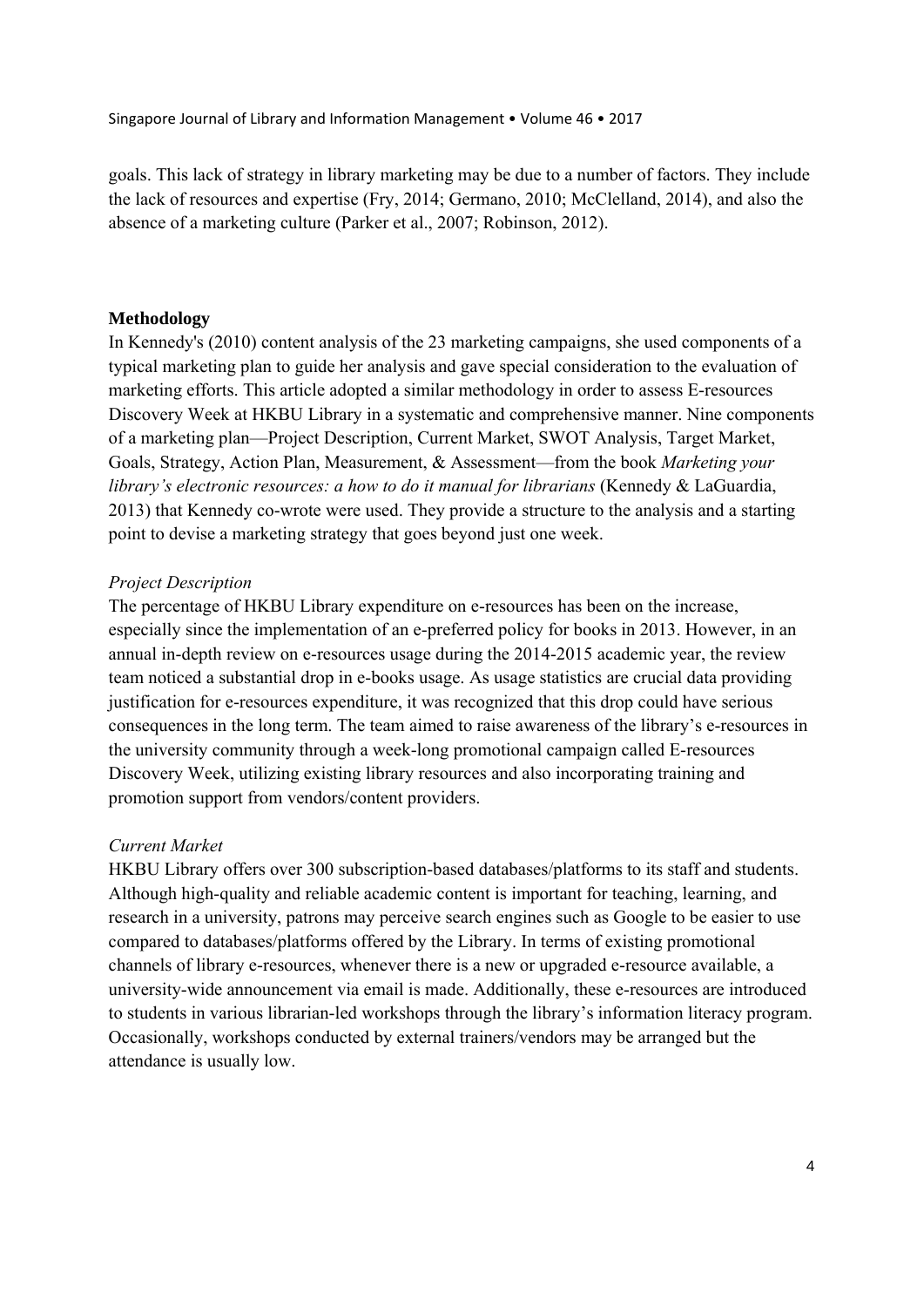goals. This lack of strategy in library marketing may be due to a number of factors. They include the lack of resources and expertise (Fry, 2014; Germano, 2010; McClelland, 2014), and also the absence of a marketing culture (Parker et al., 2007; Robinson, 2012).

### **Methodology**

In Kennedy's (2010) content analysis of the 23 marketing campaigns, she used components of a typical marketing plan to guide her analysis and gave special consideration to the evaluation of marketing efforts. This article adopted a similar methodology in order to assess E-resources Discovery Week at HKBU Library in a systematic and comprehensive manner. Nine components of a marketing plan—Project Description, Current Market, SWOT Analysis, Target Market, Goals, Strategy, Action Plan, Measurement, & Assessment—from the book *Marketing your library's electronic resources: a how to do it manual for librarians* (Kennedy & LaGuardia, 2013) that Kennedy co-wrote were used. They provide a structure to the analysis and a starting point to devise a marketing strategy that goes beyond just one week.

# *Project Description*

The percentage of HKBU Library expenditure on e-resources has been on the increase, especially since the implementation of an e-preferred policy for books in 2013. However, in an annual in-depth review on e-resources usage during the 2014-2015 academic year, the review team noticed a substantial drop in e-books usage. As usage statistics are crucial data providing justification for e-resources expenditure, it was recognized that this drop could have serious consequences in the long term. The team aimed to raise awareness of the library's e-resources in the university community through a week-long promotional campaign called E-resources Discovery Week, utilizing existing library resources and also incorporating training and promotion support from vendors/content providers.

# *Current Market*

HKBU Library offers over 300 subscription-based databases/platforms to its staff and students. Although high-quality and reliable academic content is important for teaching, learning, and research in a university, patrons may perceive search engines such as Google to be easier to use compared to databases/platforms offered by the Library. In terms of existing promotional channels of library e-resources, whenever there is a new or upgraded e-resource available, a university-wide announcement via email is made. Additionally, these e-resources are introduced to students in various librarian-led workshops through the library's information literacy program. Occasionally, workshops conducted by external trainers/vendors may be arranged but the attendance is usually low.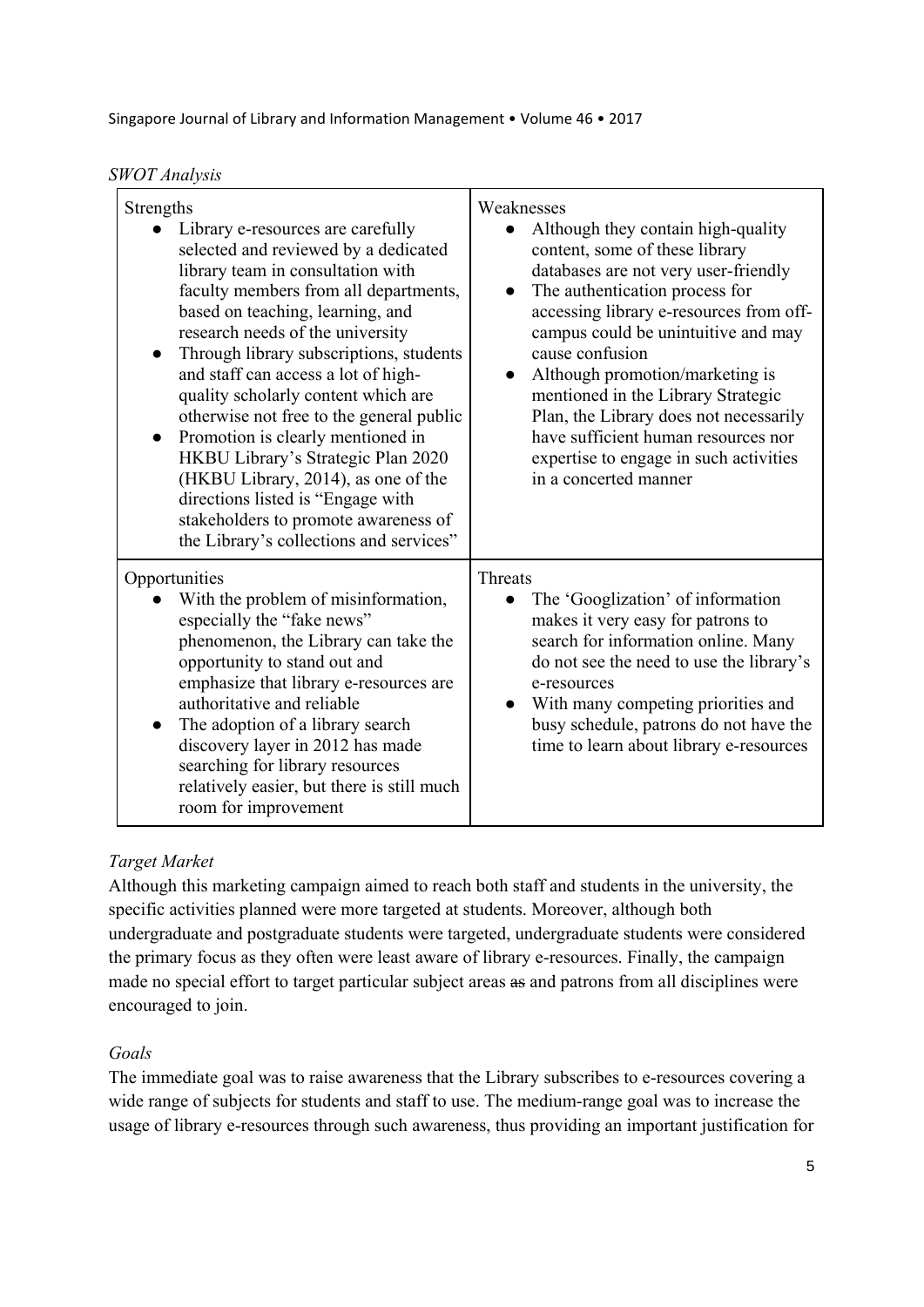*SWOT Analysis* 

| Strengths<br>Library e-resources are carefully<br>selected and reviewed by a dedicated<br>library team in consultation with<br>faculty members from all departments,<br>based on teaching, learning, and<br>research needs of the university<br>Through library subscriptions, students<br>$\bullet$<br>and staff can access a lot of high-<br>quality scholarly content which are<br>otherwise not free to the general public<br>Promotion is clearly mentioned in<br>HKBU Library's Strategic Plan 2020<br>(HKBU Library, 2014), as one of the<br>directions listed is "Engage with<br>stakeholders to promote awareness of<br>the Library's collections and services" | Weaknesses<br>Although they contain high-quality<br>content, some of these library<br>databases are not very user-friendly<br>The authentication process for<br>accessing library e-resources from off-<br>campus could be unintuitive and may<br>cause confusion<br>Although promotion/marketing is<br>mentioned in the Library Strategic<br>Plan, the Library does not necessarily<br>have sufficient human resources nor<br>expertise to engage in such activities<br>in a concerted manner |
|--------------------------------------------------------------------------------------------------------------------------------------------------------------------------------------------------------------------------------------------------------------------------------------------------------------------------------------------------------------------------------------------------------------------------------------------------------------------------------------------------------------------------------------------------------------------------------------------------------------------------------------------------------------------------|------------------------------------------------------------------------------------------------------------------------------------------------------------------------------------------------------------------------------------------------------------------------------------------------------------------------------------------------------------------------------------------------------------------------------------------------------------------------------------------------|
| Opportunities<br>With the problem of misinformation,<br>especially the "fake news"<br>phenomenon, the Library can take the<br>opportunity to stand out and<br>emphasize that library e-resources are<br>authoritative and reliable<br>The adoption of a library search<br>discovery layer in 2012 has made<br>searching for library resources<br>relatively easier, but there is still much<br>room for improvement                                                                                                                                                                                                                                                      | <b>Threats</b><br>The 'Googlization' of information<br>makes it very easy for patrons to<br>search for information online. Many<br>do not see the need to use the library's<br>e-resources<br>With many competing priorities and<br>$\bullet$<br>busy schedule, patrons do not have the<br>time to learn about library e-resources                                                                                                                                                             |

# *Target Market*

Although this marketing campaign aimed to reach both staff and students in the university, the specific activities planned were more targeted at students. Moreover, although both undergraduate and postgraduate students were targeted, undergraduate students were considered the primary focus as they often were least aware of library e-resources. Finally, the campaign made no special effort to target particular subject areas as and patrons from all disciplines were encouraged to join.

# *Goals*

The immediate goal was to raise awareness that the Library subscribes to e-resources covering a wide range of subjects for students and staff to use. The medium-range goal was to increase the usage of library e-resources through such awareness, thus providing an important justification for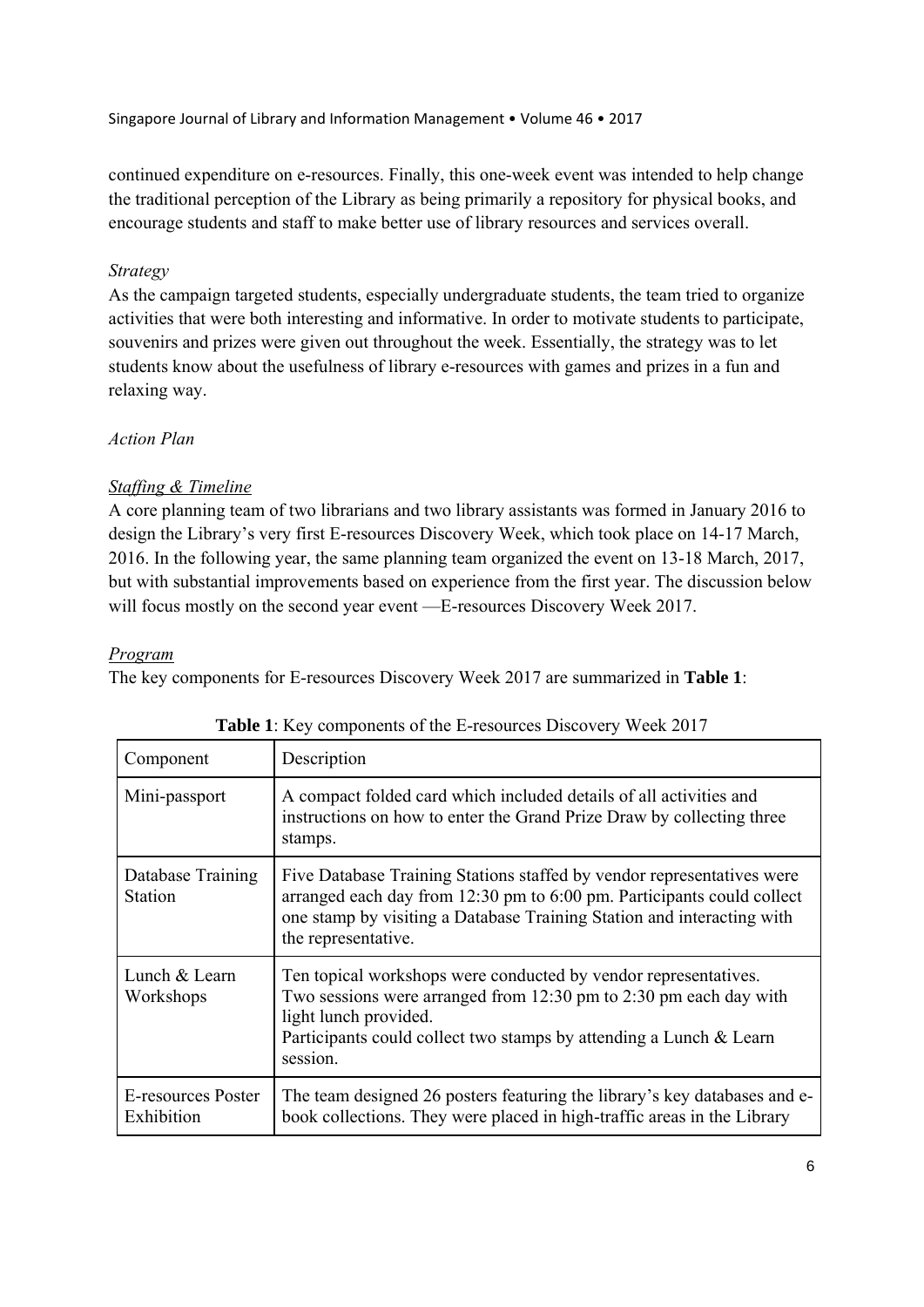continued expenditure on e-resources. Finally, this one-week event was intended to help change the traditional perception of the Library as being primarily a repository for physical books, and encourage students and staff to make better use of library resources and services overall.

# *Strategy*

As the campaign targeted students, especially undergraduate students, the team tried to organize activities that were both interesting and informative. In order to motivate students to participate, souvenirs and prizes were given out throughout the week. Essentially, the strategy was to let students know about the usefulness of library e-resources with games and prizes in a fun and relaxing way.

# *Action Plan*

# *Staffing & Timeline*

A core planning team of two librarians and two library assistants was formed in January 2016 to design the Library's very first E-resources Discovery Week, which took place on 14-17 March, 2016. In the following year, the same planning team organized the event on 13-18 March, 2017, but with substantial improvements based on experience from the first year. The discussion below will focus mostly on the second year event —E-resources Discovery Week 2017.

# *Program*

The key components for E-resources Discovery Week 2017 are summarized in **Table 1**:

| Component                           | Description                                                                                                                                                                                                                                       |
|-------------------------------------|---------------------------------------------------------------------------------------------------------------------------------------------------------------------------------------------------------------------------------------------------|
| Mini-passport                       | A compact folded card which included details of all activities and<br>instructions on how to enter the Grand Prize Draw by collecting three<br>stamps.                                                                                            |
| Database Training<br><b>Station</b> | Five Database Training Stations staffed by vendor representatives were<br>arranged each day from 12:30 pm to 6:00 pm. Participants could collect<br>one stamp by visiting a Database Training Station and interacting with<br>the representative. |
| Lunch & Learn<br>Workshops          | Ten topical workshops were conducted by vendor representatives.<br>Two sessions were arranged from 12:30 pm to 2:30 pm each day with<br>light lunch provided.<br>Participants could collect two stamps by attending a Lunch & Learn<br>session.   |
| E-resources Poster<br>Exhibition    | The team designed 26 posters featuring the library's key databases and e-<br>book collections. They were placed in high-traffic areas in the Library                                                                                              |

|  |  | Table 1: Key components of the E-resources Discovery Week 2017 |  |  |
|--|--|----------------------------------------------------------------|--|--|
|--|--|----------------------------------------------------------------|--|--|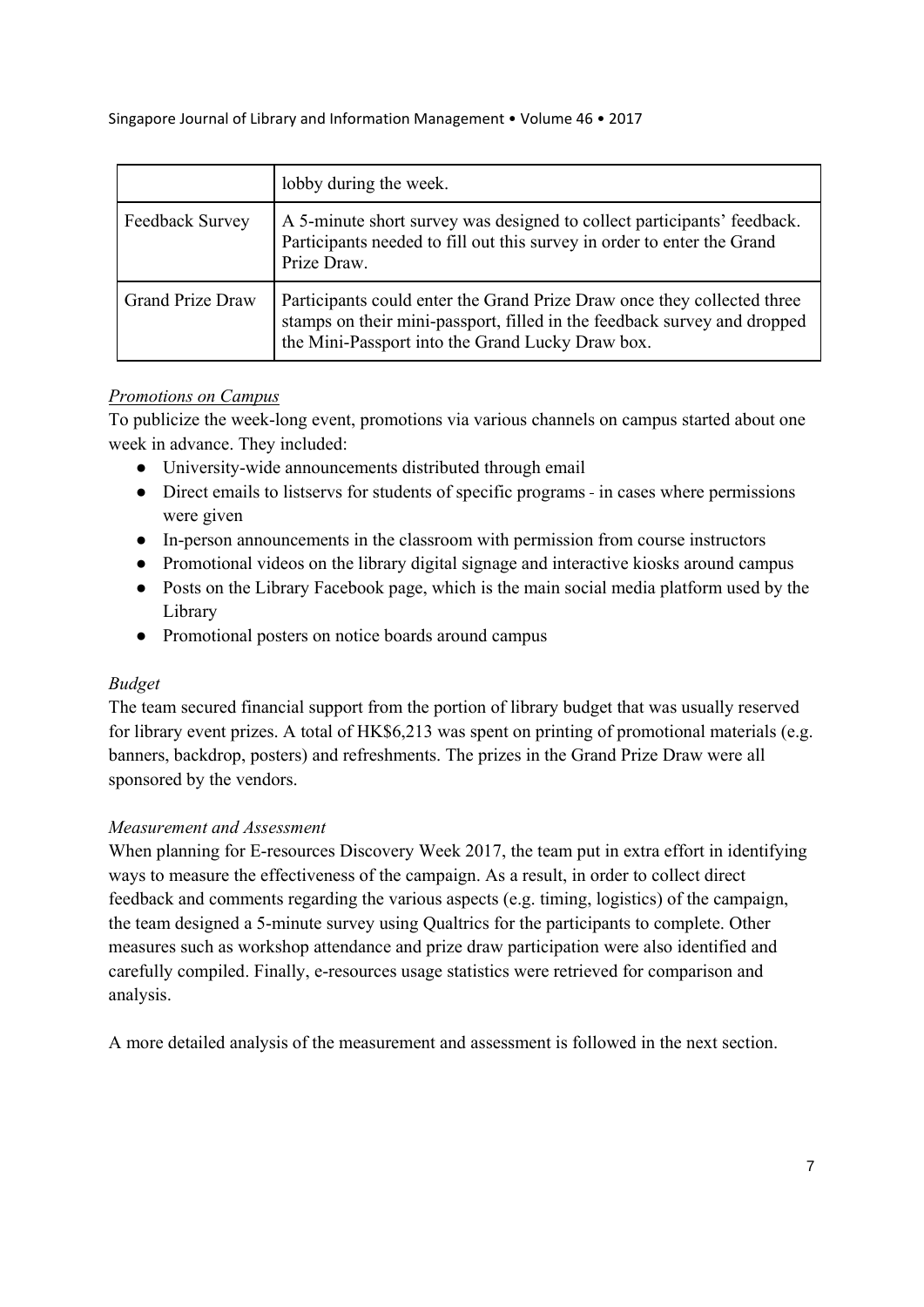|                         | lobby during the week.                                                                                                                                                                                  |
|-------------------------|---------------------------------------------------------------------------------------------------------------------------------------------------------------------------------------------------------|
| Feedback Survey         | A 5-minute short survey was designed to collect participants' feedback.<br>Participants needed to fill out this survey in order to enter the Grand<br>Prize Draw.                                       |
| <b>Grand Prize Draw</b> | Participants could enter the Grand Prize Draw once they collected three<br>stamps on their mini-passport, filled in the feedback survey and dropped<br>the Mini-Passport into the Grand Lucky Draw box. |

# *Promotions on Campus*

To publicize the week-long event, promotions via various channels on campus started about one week in advance. They included:

- University-wide announcements distributed through email
- Direct emails to listservs for students of specific programs in cases where permissions were given
- In-person announcements in the classroom with permission from course instructors
- Promotional videos on the library digital signage and interactive kiosks around campus
- Posts on the Library Facebook page, which is the main social media platform used by the Library
- Promotional posters on notice boards around campus

# *Budget*

The team secured financial support from the portion of library budget that was usually reserved for library event prizes. A total of HK\$6,213 was spent on printing of promotional materials (e.g. banners, backdrop, posters) and refreshments. The prizes in the Grand Prize Draw were all sponsored by the vendors.

# *Measurement and Assessment*

When planning for E-resources Discovery Week 2017, the team put in extra effort in identifying ways to measure the effectiveness of the campaign. As a result, in order to collect direct feedback and comments regarding the various aspects (e.g. timing, logistics) of the campaign, the team designed a 5-minute survey using Qualtrics for the participants to complete. Other measures such as workshop attendance and prize draw participation were also identified and carefully compiled. Finally, e-resources usage statistics were retrieved for comparison and analysis.

A more detailed analysis of the measurement and assessment is followed in the next section.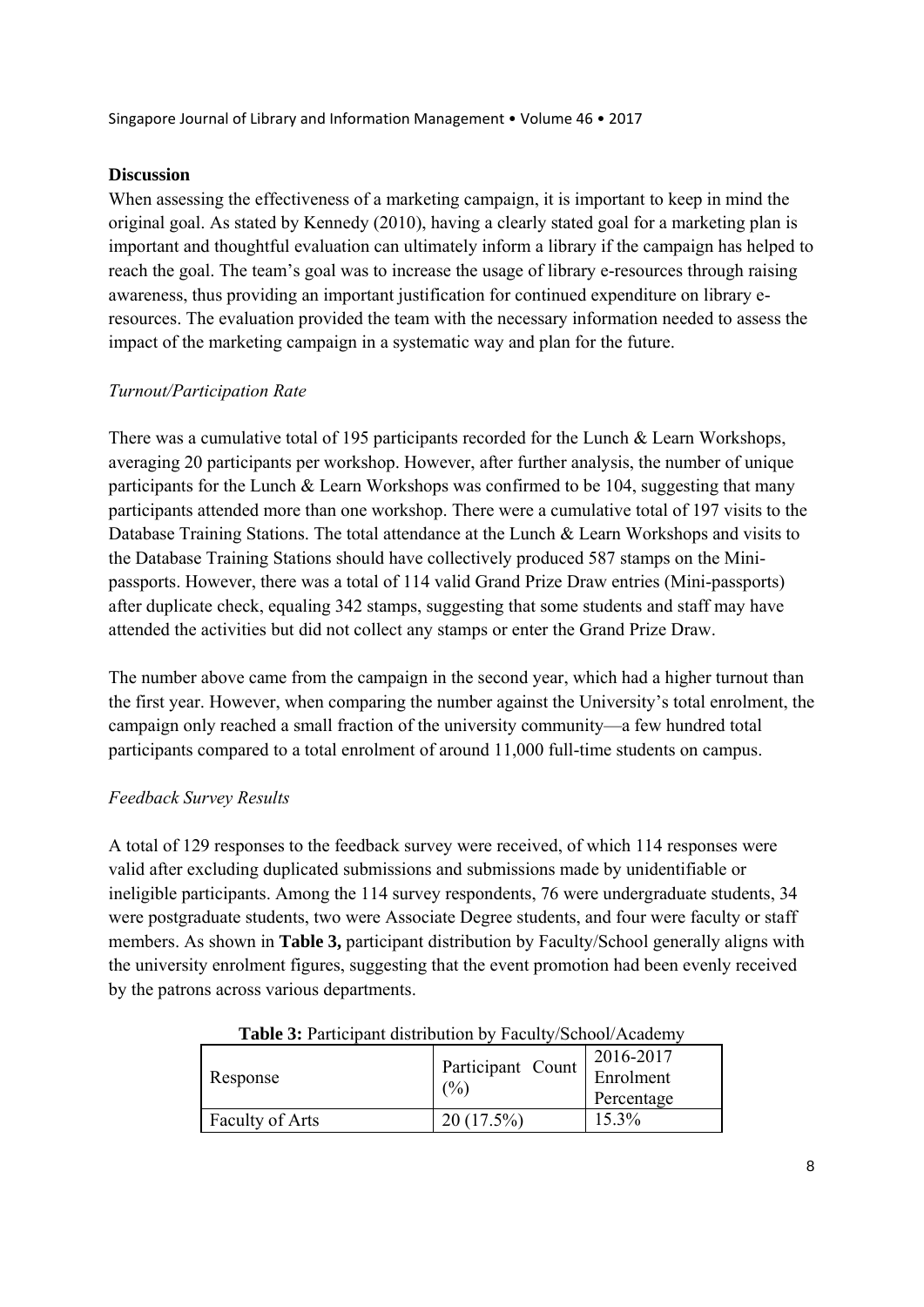### **Discussion**

When assessing the effectiveness of a marketing campaign, it is important to keep in mind the original goal. As stated by Kennedy (2010), having a clearly stated goal for a marketing plan is important and thoughtful evaluation can ultimately inform a library if the campaign has helped to reach the goal. The team's goal was to increase the usage of library e-resources through raising awareness, thus providing an important justification for continued expenditure on library eresources. The evaluation provided the team with the necessary information needed to assess the impact of the marketing campaign in a systematic way and plan for the future.

#### *Turnout/Participation Rate*

There was a cumulative total of 195 participants recorded for the Lunch & Learn Workshops, averaging 20 participants per workshop. However, after further analysis, the number of unique participants for the Lunch & Learn Workshops was confirmed to be 104, suggesting that many participants attended more than one workshop. There were a cumulative total of 197 visits to the Database Training Stations. The total attendance at the Lunch & Learn Workshops and visits to the Database Training Stations should have collectively produced 587 stamps on the Minipassports. However, there was a total of 114 valid Grand Prize Draw entries (Mini-passports) after duplicate check, equaling 342 stamps, suggesting that some students and staff may have attended the activities but did not collect any stamps or enter the Grand Prize Draw.

The number above came from the campaign in the second year, which had a higher turnout than the first year. However, when comparing the number against the University's total enrolment, the campaign only reached a small fraction of the university community—a few hundred total participants compared to a total enrolment of around 11,000 full-time students on campus.

# *Feedback Survey Results*

A total of 129 responses to the feedback survey were received, of which 114 responses were valid after excluding duplicated submissions and submissions made by unidentifiable or ineligible participants. Among the 114 survey respondents, 76 were undergraduate students, 34 were postgraduate students, two were Associate Degree students, and four were faculty or staff members. As shown in **Table 3,** participant distribution by Faculty/School generally aligns with the university enrolment figures, suggesting that the event promotion had been evenly received by the patrons across various departments.

| <b>Tuole</b> of I antionally distribution by Tuodity/Sonot/7 Readenty |                                                  |            |  |  |  |  |
|-----------------------------------------------------------------------|--------------------------------------------------|------------|--|--|--|--|
| Response                                                              |                                                  | 2016-2017  |  |  |  |  |
|                                                                       | $\mid$ Participant Count $\mid$ Enrolment<br>(%) |            |  |  |  |  |
|                                                                       |                                                  | Percentage |  |  |  |  |
| Faculty of Arts                                                       | $20(17.5\%)$                                     | $15.3\%$   |  |  |  |  |

**Table 3:** Participant distribution by Faculty/School/Academy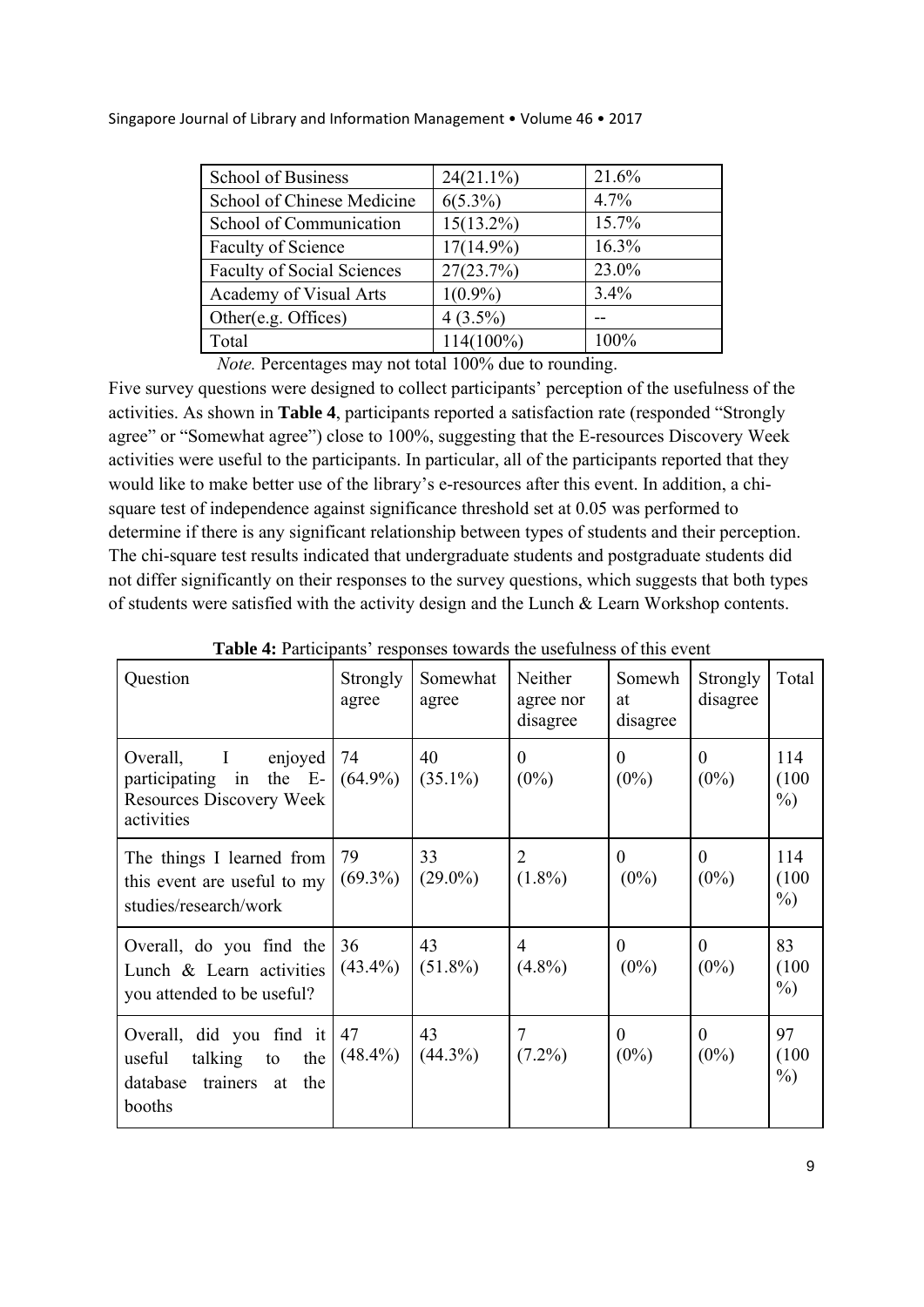| School of Business                | $24(21.1\%)$ | 21.6%   |
|-----------------------------------|--------------|---------|
| School of Chinese Medicine        | $6(5.3\%)$   | 4.7%    |
| School of Communication           | $15(13.2\%)$ | 15.7%   |
| Faculty of Science                | $17(14.9\%)$ | 16.3%   |
| <b>Faculty of Social Sciences</b> | 27(23.7%)    | 23.0%   |
| Academy of Visual Arts            | $1(0.9\%)$   | $3.4\%$ |
| Other(e.g. Offices)               | $4(3.5\%)$   |         |
| Total                             | $114(100\%)$ | 100%    |

*Note.* Percentages may not total 100% due to rounding.

Five survey questions were designed to collect participants' perception of the usefulness of the activities. As shown in **Table 4**, participants reported a satisfaction rate (responded "Strongly agree" or "Somewhat agree") close to 100%, suggesting that the E-resources Discovery Week activities were useful to the participants. In particular, all of the participants reported that they would like to make better use of the library's e-resources after this event. In addition, a chisquare test of independence against significance threshold set at 0.05 was performed to determine if there is any significant relationship between types of students and their perception. The chi-square test results indicated that undergraduate students and postgraduate students did not differ significantly on their responses to the survey questions, which suggests that both types of students were satisfied with the activity design and the Lunch & Learn Workshop contents.

| Question                                                                                                        | Strongly<br>agree | Somewhat<br>agree | Neither<br>agree nor<br>disagree | Somewh<br>at<br>disagree  | Strongly<br>disagree      | Total                  |
|-----------------------------------------------------------------------------------------------------------------|-------------------|-------------------|----------------------------------|---------------------------|---------------------------|------------------------|
| $\mathbf{I}$<br>enjoyed<br>Overall,<br>participating in the E-<br><b>Resources Discovery Week</b><br>activities | 74<br>$(64.9\%)$  | 40<br>$(35.1\%)$  | $\theta$<br>$(0\%)$              | $\theta$<br>$(0\%)$       | $\theta$<br>$(0\%)$       | 114<br>(100)<br>$\%$ ) |
| The things I learned from<br>this event are useful to my<br>studies/research/work                               | 79<br>$(69.3\%)$  | 33<br>$(29.0\%)$  | 2<br>$(1.8\%)$                   | $\overline{0}$<br>$(0\%)$ | $\theta$<br>$(0\%)$       | 114<br>(100)<br>$\%$ ) |
| Overall, do you find the<br>Lunch & Learn activities<br>you attended to be useful?                              | 36<br>$(43.4\%)$  | 43<br>$(51.8\%)$  | 4<br>$(4.8\%)$                   | $\theta$<br>$(0\%)$       | $\overline{0}$<br>$(0\%)$ | 83<br>(100)<br>$\%$ )  |
| Overall, did you find it<br>talking to<br>the<br>useful<br>database<br>trainers<br>the<br>at<br>booths          | 47<br>$(48.4\%)$  | 43<br>$(44.3\%)$  | $(7.2\%)$                        | $\overline{0}$<br>$(0\%)$ | $\overline{0}$<br>$(0\%)$ | 97<br>(100)<br>$\%$ )  |

**Table 4:** Participants' responses towards the usefulness of this event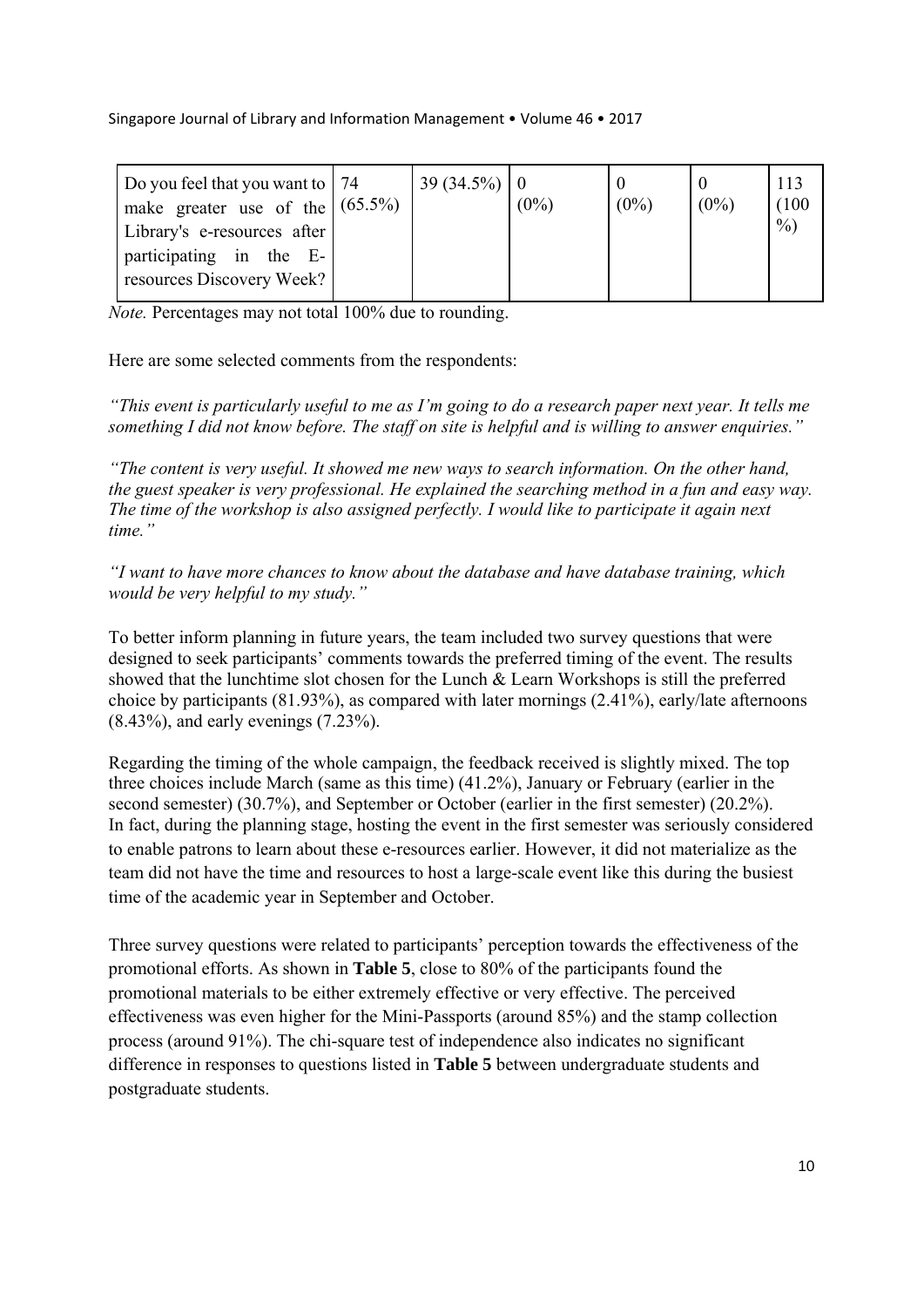| Do you feel that you want to   74<br>make greater use of the $(65.5\%)$ | $39(34.5\%)$ 0 | $(0\%)$ | $(0\%)$ | $(0\%)$ | 113<br>(100) |
|-------------------------------------------------------------------------|----------------|---------|---------|---------|--------------|
| Library's e-resources after                                             |                |         |         |         | $\%$ )       |
| participating in the E-<br>resources Discovery Week?                    |                |         |         |         |              |

*Note.* Percentages may not total 100% due to rounding.

Here are some selected comments from the respondents:

*"This event is particularly useful to me as I'm going to do a research paper next year. It tells me something I did not know before. The staff on site is helpful and is willing to answer enquiries."* 

*"The content is very useful. It showed me new ways to search information. On the other hand, the guest speaker is very professional. He explained the searching method in a fun and easy way. The time of the workshop is also assigned perfectly. I would like to participate it again next time."* 

*"I want to have more chances to know about the database and have database training, which would be very helpful to my study."* 

To better inform planning in future years, the team included two survey questions that were designed to seek participants' comments towards the preferred timing of the event. The results showed that the lunchtime slot chosen for the Lunch & Learn Workshops is still the preferred choice by participants (81.93%), as compared with later mornings (2.41%), early/late afternoons (8.43%), and early evenings (7.23%).

Regarding the timing of the whole campaign, the feedback received is slightly mixed. The top three choices include March (same as this time) (41.2%), January or February (earlier in the second semester) (30.7%), and September or October (earlier in the first semester) (20.2%). In fact, during the planning stage, hosting the event in the first semester was seriously considered to enable patrons to learn about these e-resources earlier. However, it did not materialize as the team did not have the time and resources to host a large-scale event like this during the busiest time of the academic year in September and October.

Three survey questions were related to participants' perception towards the effectiveness of the promotional efforts. As shown in **Table 5**, close to 80% of the participants found the promotional materials to be either extremely effective or very effective. The perceived effectiveness was even higher for the Mini-Passports (around 85%) and the stamp collection process (around 91%). The chi-square test of independence also indicates no significant difference in responses to questions listed in **Table 5** between undergraduate students and postgraduate students.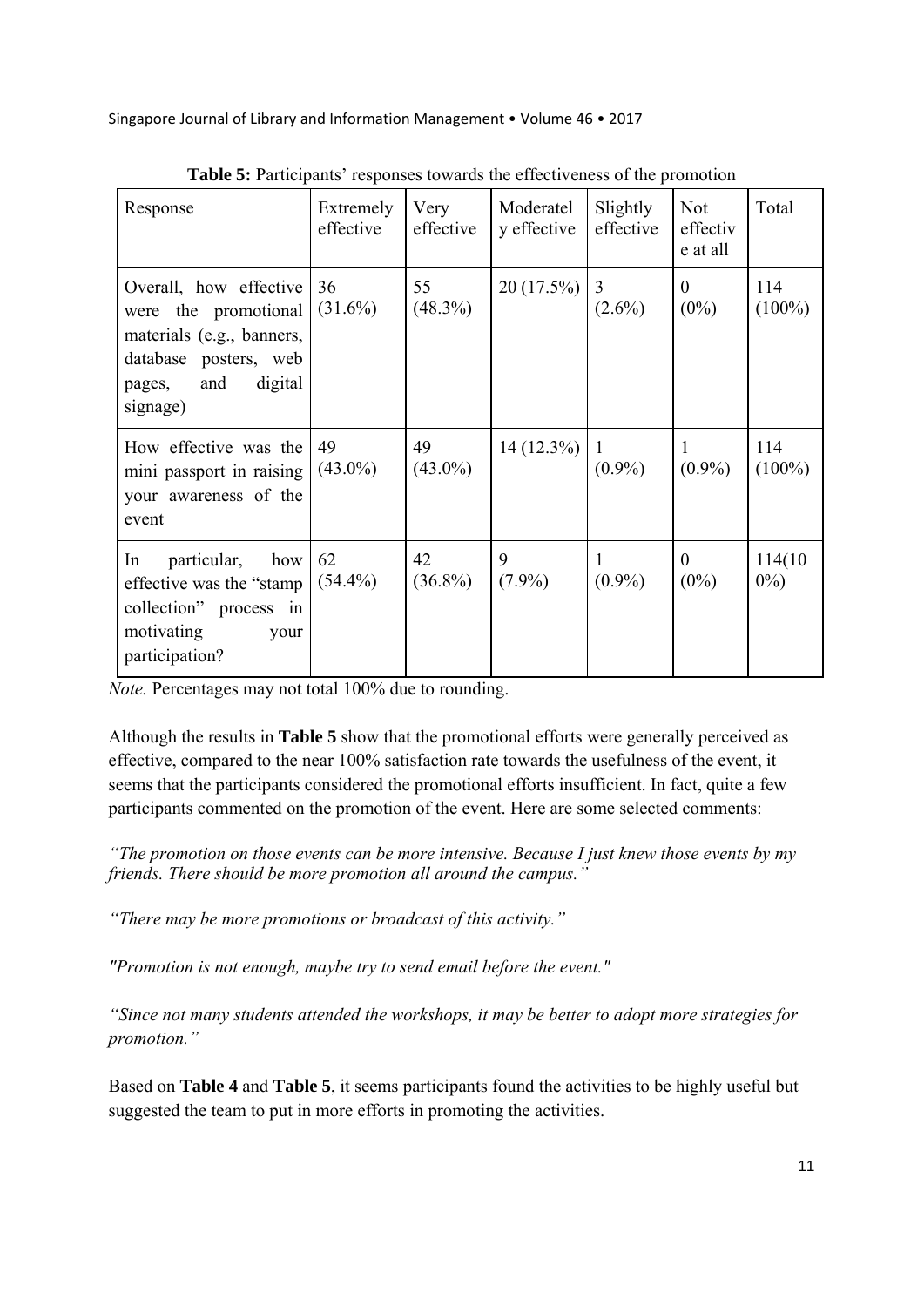| Response                                                                                                                                     | Extremely<br>effective | Very<br>effective | Moderatel<br>y effective | Slightly<br>effective | <b>Not</b><br>effectiv<br>e at all | Total              |
|----------------------------------------------------------------------------------------------------------------------------------------------|------------------------|-------------------|--------------------------|-----------------------|------------------------------------|--------------------|
| Overall, how effective<br>were the promotional<br>materials (e.g., banners,<br>database posters, web<br>digital<br>and<br>pages,<br>signage) | 36<br>$(31.6\%)$       | 55<br>$(48.3\%)$  | 20(17.5%)                | 3<br>$(2.6\%)$        | $\theta$<br>$(0\%)$                | 114<br>$(100\%)$   |
| How effective was the<br>mini passport in raising<br>your awareness of the<br>event                                                          | 49<br>$(43.0\%)$       | 49<br>$(43.0\%)$  | $14(12.3\%)$             | 1<br>$(0.9\%)$        | 1<br>$(0.9\%)$                     | 114<br>$(100\%)$   |
| In<br>particular,<br>how<br>effective was the "stamp"<br>collection" process in<br>motivating<br>your<br>participation?                      | 62<br>$(54.4\%)$       | 42<br>$(36.8\%)$  | 9<br>$(7.9\%)$           | 1<br>$(0.9\%)$        | $\theta$<br>$(0\%)$                | 114(10)<br>$0\%$ ) |

| <b>Table 5:</b> Participants' responses towards the effectiveness of the promotion |  |  |
|------------------------------------------------------------------------------------|--|--|
|                                                                                    |  |  |

*Note.* Percentages may not total 100% due to rounding.

Although the results in **Table 5** show that the promotional efforts were generally perceived as effective, compared to the near 100% satisfaction rate towards the usefulness of the event, it seems that the participants considered the promotional efforts insufficient. In fact, quite a few participants commented on the promotion of the event. Here are some selected comments:

*"The promotion on those events can be more intensive. Because I just knew those events by my friends. There should be more promotion all around the campus."* 

*"There may be more promotions or broadcast of this activity."* 

*"Promotion is not enough, maybe try to send email before the event."* 

*"Since not many students attended the workshops, it may be better to adopt more strategies for promotion."*

Based on **Table 4** and **Table 5**, it seems participants found the activities to be highly useful but suggested the team to put in more efforts in promoting the activities.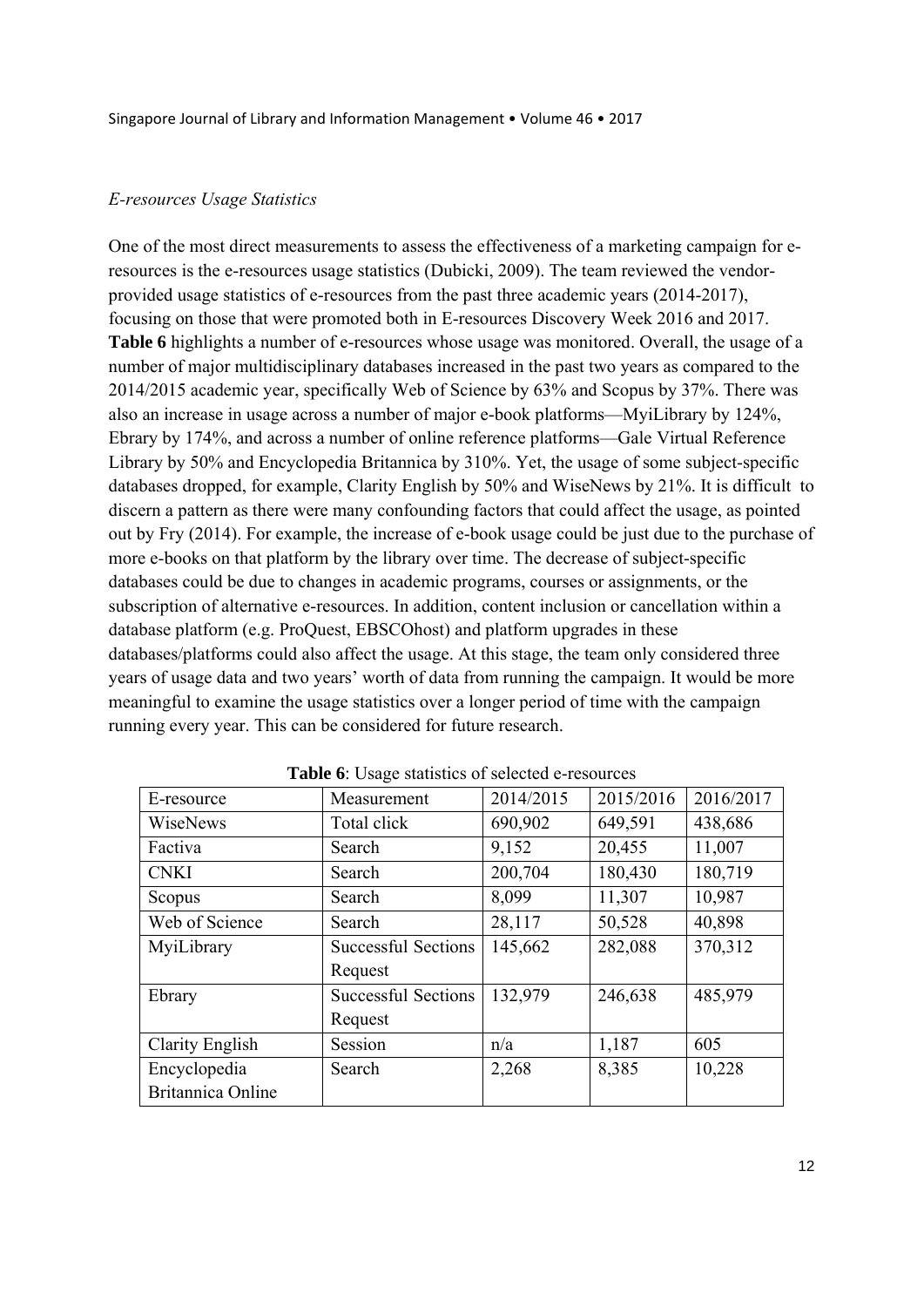#### *E-resources Usage Statistics*

One of the most direct measurements to assess the effectiveness of a marketing campaign for eresources is the e-resources usage statistics (Dubicki, 2009). The team reviewed the vendorprovided usage statistics of e-resources from the past three academic years (2014-2017), focusing on those that were promoted both in E-resources Discovery Week 2016 and 2017. **Table 6** highlights a number of e-resources whose usage was monitored. Overall, the usage of a number of major multidisciplinary databases increased in the past two years as compared to the 2014/2015 academic year, specifically Web of Science by 63% and Scopus by 37%. There was also an increase in usage across a number of major e-book platforms—MyiLibrary by 124%, Ebrary by 174%, and across a number of online reference platforms—Gale Virtual Reference Library by 50% and Encyclopedia Britannica by 310%. Yet, the usage of some subject-specific databases dropped, for example, Clarity English by 50% and WiseNews by 21%. It is difficult to discern a pattern as there were many confounding factors that could affect the usage, as pointed out by Fry (2014). For example, the increase of e-book usage could be just due to the purchase of more e-books on that platform by the library over time. The decrease of subject-specific databases could be due to changes in academic programs, courses or assignments, or the subscription of alternative e-resources. In addition, content inclusion or cancellation within a database platform (e.g. ProQuest, EBSCOhost) and platform upgrades in these databases/platforms could also affect the usage. At this stage, the team only considered three years of usage data and two years' worth of data from running the campaign. It would be more meaningful to examine the usage statistics over a longer period of time with the campaign running every year. This can be considered for future research.

| E-resource               | Measurement                | 2014/2015 | 2015/2016 | 2016/2017 |
|--------------------------|----------------------------|-----------|-----------|-----------|
| WiseNews                 | Total click                | 690,902   | 649,591   | 438,686   |
| Factiva                  | Search                     | 9,152     | 20,455    | 11,007    |
| <b>CNKI</b>              | Search                     | 200,704   | 180,430   | 180,719   |
| Scopus                   | Search                     | 8,099     | 11,307    | 10,987    |
| Web of Science           | Search                     | 28,117    | 50,528    | 40,898    |
| MyiLibrary               | <b>Successful Sections</b> | 145,662   | 282,088   | 370,312   |
|                          | Request                    |           |           |           |
| Ebrary                   | <b>Successful Sections</b> | 132,979   | 246,638   | 485,979   |
|                          | Request                    |           |           |           |
| Clarity English          | Session                    | n/a       | 1,187     | 605       |
| Encyclopedia             | Search                     | 2,268     | 8,385     | 10,228    |
| <b>Britannica Online</b> |                            |           |           |           |

**Table 6**: Usage statistics of selected e-resources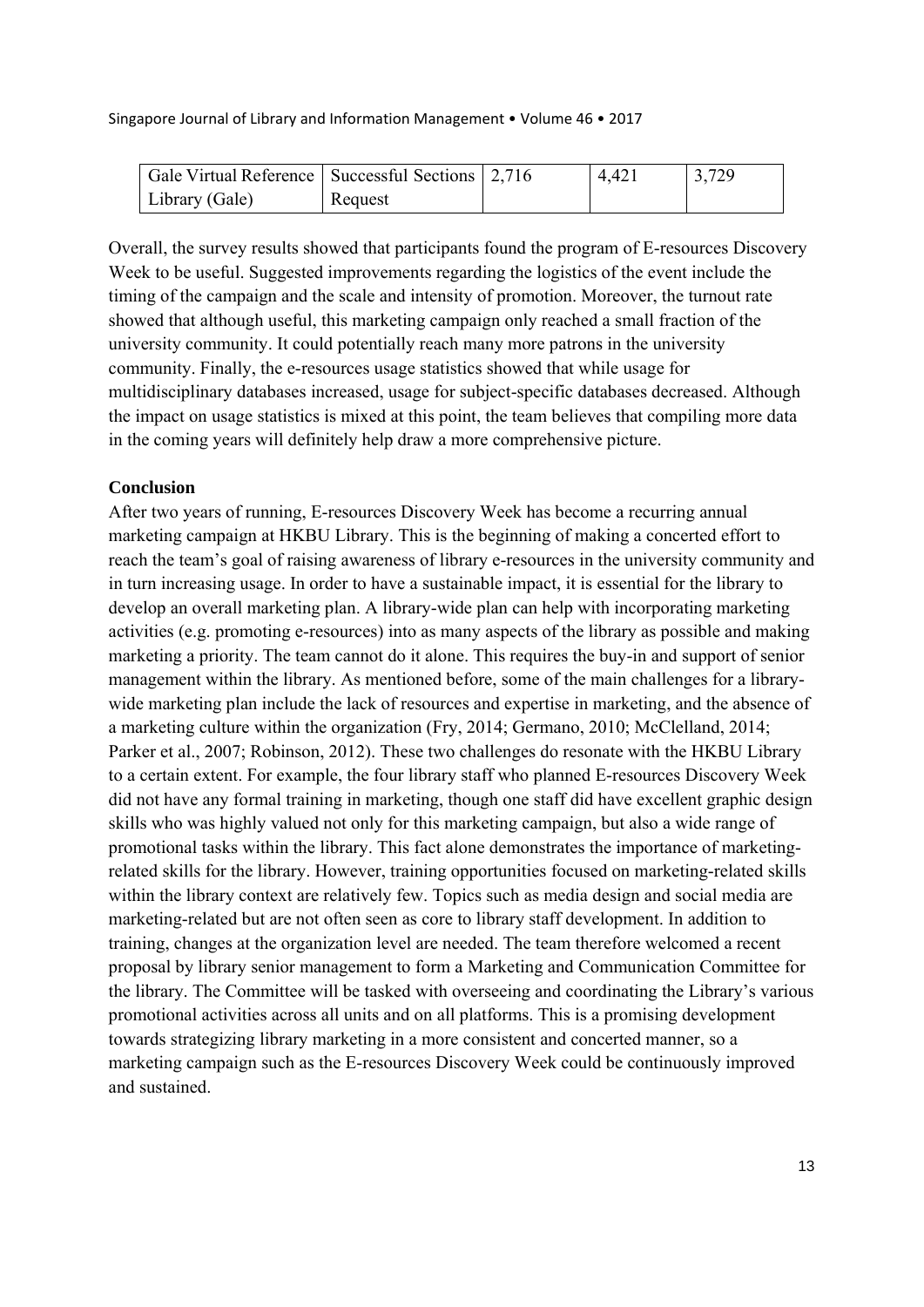| Gale Virtual Reference   Successful Sections   2,716 |         | 4.421 | 3,729 |
|------------------------------------------------------|---------|-------|-------|
| Library (Gale)                                       | Request |       |       |

Overall, the survey results showed that participants found the program of E-resources Discovery Week to be useful. Suggested improvements regarding the logistics of the event include the timing of the campaign and the scale and intensity of promotion. Moreover, the turnout rate showed that although useful, this marketing campaign only reached a small fraction of the university community. It could potentially reach many more patrons in the university community. Finally, the e-resources usage statistics showed that while usage for multidisciplinary databases increased, usage for subject-specific databases decreased. Although the impact on usage statistics is mixed at this point, the team believes that compiling more data in the coming years will definitely help draw a more comprehensive picture.

#### **Conclusion**

After two years of running, E-resources Discovery Week has become a recurring annual marketing campaign at HKBU Library. This is the beginning of making a concerted effort to reach the team's goal of raising awareness of library e-resources in the university community and in turn increasing usage. In order to have a sustainable impact, it is essential for the library to develop an overall marketing plan. A library-wide plan can help with incorporating marketing activities (e.g. promoting e-resources) into as many aspects of the library as possible and making marketing a priority. The team cannot do it alone. This requires the buy-in and support of senior management within the library. As mentioned before, some of the main challenges for a librarywide marketing plan include the lack of resources and expertise in marketing, and the absence of a marketing culture within the organization (Fry, 2014; Germano, 2010; McClelland, 2014; Parker et al., 2007; Robinson, 2012). These two challenges do resonate with the HKBU Library to a certain extent. For example, the four library staff who planned E-resources Discovery Week did not have any formal training in marketing, though one staff did have excellent graphic design skills who was highly valued not only for this marketing campaign, but also a wide range of promotional tasks within the library. This fact alone demonstrates the importance of marketingrelated skills for the library. However, training opportunities focused on marketing-related skills within the library context are relatively few. Topics such as media design and social media are marketing-related but are not often seen as core to library staff development. In addition to training, changes at the organization level are needed. The team therefore welcomed a recent proposal by library senior management to form a Marketing and Communication Committee for the library. The Committee will be tasked with overseeing and coordinating the Library's various promotional activities across all units and on all platforms. This is a promising development towards strategizing library marketing in a more consistent and concerted manner, so a marketing campaign such as the E-resources Discovery Week could be continuously improved and sustained.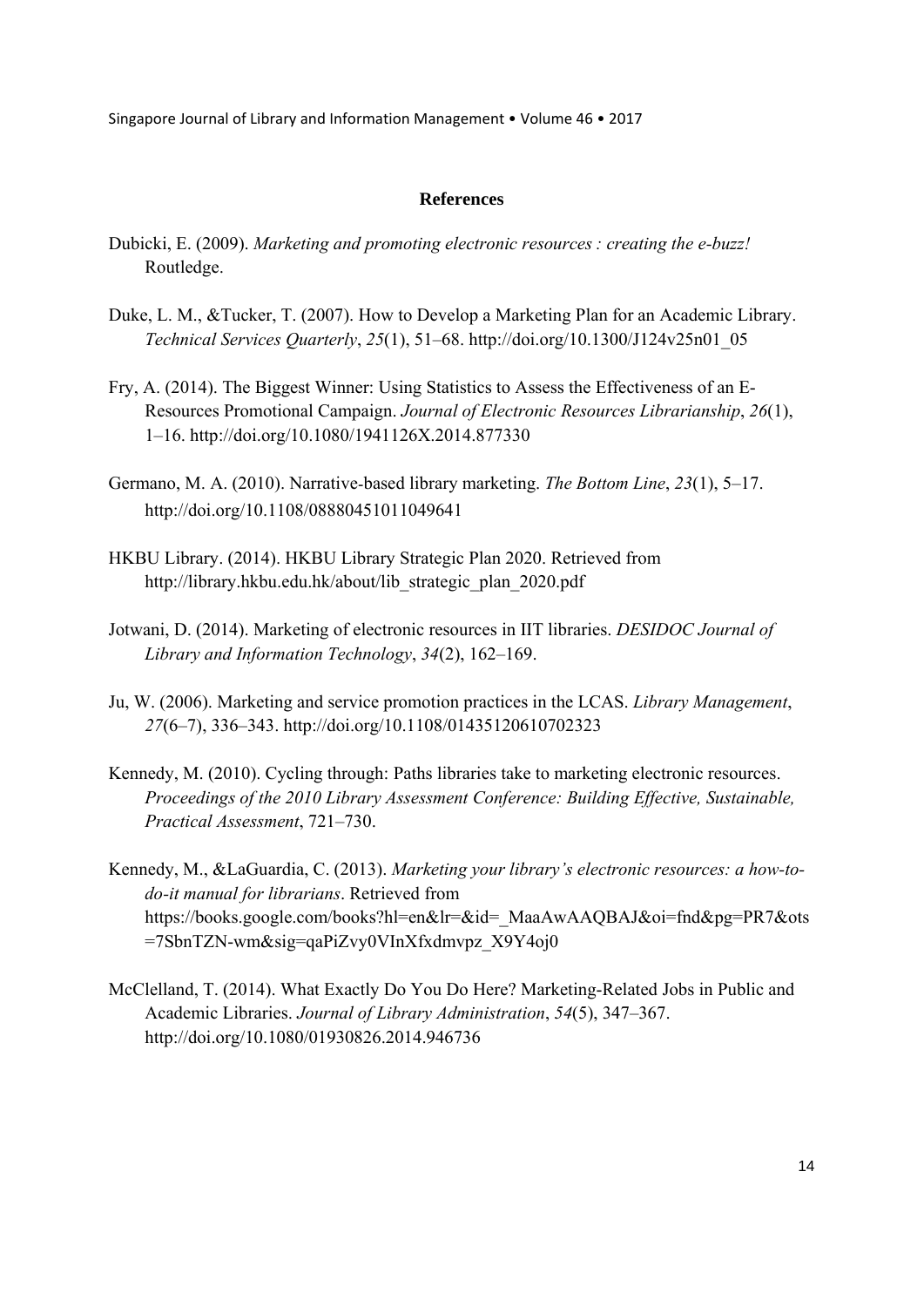#### **References**

- Dubicki, E. (2009). *Marketing and promoting electronic resources : creating the e-buzz!* Routledge.
- Duke, L. M., &Tucker, T. (2007). How to Develop a Marketing Plan for an Academic Library. *Technical Services Quarterly*, *25*(1), 51–68. http://doi.org/10.1300/J124v25n01\_05
- Fry, A. (2014). The Biggest Winner: Using Statistics to Assess the Effectiveness of an E-Resources Promotional Campaign. *Journal of Electronic Resources Librarianship*, *26*(1), 1–16. http://doi.org/10.1080/1941126X.2014.877330
- Germano, M. A. (2010). Narrativebased library marketing. *The Bottom Line*, *23*(1), 5–17. http://doi.org/10.1108/08880451011049641
- HKBU Library. (2014). HKBU Library Strategic Plan 2020. Retrieved from http://library.hkbu.edu.hk/about/lib\_strategic\_plan\_2020.pdf
- Jotwani, D. (2014). Marketing of electronic resources in IIT libraries. *DESIDOC Journal of Library and Information Technology*, *34*(2), 162–169.
- Ju, W. (2006). Marketing and service promotion practices in the LCAS. *Library Management*, *27*(6–7), 336–343. http://doi.org/10.1108/01435120610702323
- Kennedy, M. (2010). Cycling through: Paths libraries take to marketing electronic resources. *Proceedings of the 2010 Library Assessment Conference: Building Effective, Sustainable, Practical Assessment*, 721–730.
- Kennedy, M., &LaGuardia, C. (2013). *Marketing your library's electronic resources: a how-todo-it manual for librarians*. Retrieved from https://books.google.com/books?hl=en&lr=&id=\_MaaAwAAQBAJ&oi=fnd&pg=PR7&ots =7SbnTZN-wm&sig=qaPiZvy0VInXfxdmvpz\_X9Y4oj0
- McClelland, T. (2014). What Exactly Do You Do Here? Marketing-Related Jobs in Public and Academic Libraries. *Journal of Library Administration*, *54*(5), 347–367. http://doi.org/10.1080/01930826.2014.946736